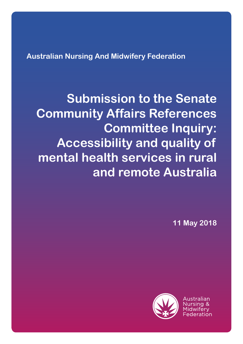**Australian Nursing And Midwifery Federation**

**Submission to the Senate Community Affairs References Committee Inquiry: Accessibility and quality of mental health services in rural and remote Australia**

**11 May 2018**

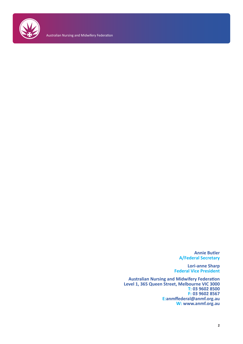

Australian Nursing and Midwifery Federation

**Annie Butler A/Federal Secretary**

**Lori-anne Sharp Federal Vice President**

**Australian Nursing and Midwifery Federation Level 1, 365 Queen Street, Melbourne VIC 3000 T: 03 9602 8500 F: 03 9602 8567 E:anmffederal@anmf.org.au W: www.anmf.org.au**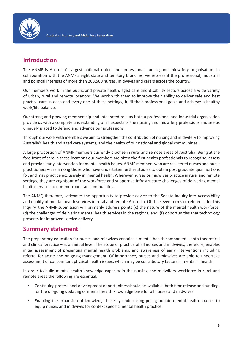

# **Introduction**

The ANMF is Australia's largest national union and professional nursing and midwifery organisation. In collaboration with the ANMF's eight state and territory branches, we represent the professional, industrial and political interests of more than 268,500 nurses, midwives and carers across the country.

Our members work in the public and private health, aged care and disability sectors across a wide variety of urban, rural and remote locations. We work with them to improve their ability to deliver safe and best practice care in each and every one of these settings, fulfil their professional goals and achieve a healthy work/life balance.

Our strong and growing membership and integrated role as both a professional and industrial organisation provide us with a complete understanding of all aspects of the nursing and midwifery professions and see us uniquely placed to defend and advance our professions.

Through our work with members we aim to strengthen the contribution of nursing and midwifery to improving Australia's health and aged care systems, and the health of our national and global communities.

A large proportion of ANMF members currently practise in rural and remote areas of Australia. Being at the fore-front of care in these locations our members are often the first health professionals to recognise, assess and provide early intervention for mental health issues. ANMF members who are registered nurses and nurse practitioners – are among those who have undertaken further studies to obtain post graduate qualifications for, and may practice exclusively in, mental health. Wherever nurses or midwives practice in rural and remote settings, they are cognisant of the workforce and supportive infrastructure challenges of delivering mental health services to non-metropolitan communities.

The ANMF, therefore, welcomes the opportunity to provide advice to the Senate Inquiry into Accessibility and quality of mental health services in rural and remote Australia. Of the seven terms of reference for this Inquiry, the ANMF submission will primarily address points (c) the nature of the mental health workforce, (d) the challenges of delivering mental health services in the regions, and, (f) opportunities that technology presents for improved service delivery.

## **Summary statement**

The preparatory education for nurses and midwives contains a mental health component - both theoretical and clinical practice – at an initial level. The scope of practice of all nurses and midwives, therefore, enables initial assessment of presenting mental health problems, and awareness of early interventions including referral for acute and on-going management. Of importance, nurses and midwives are able to undertake assessment of concomitant physical health issues, which may be contributory factors in mental ill health.

In order to build mental health knowledge capacity in the nursing and midwifery workforce in rural and remote areas the following are essential:

- Continuing professional development opportunities should be available (both time release and funding) for the on-going updating of mental health knowledge base for all nurses and midwives.
- Enabling the expansion of knowledge base by undertaking post graduate mental health courses to equip nurses and midwives for context specific mental health practice.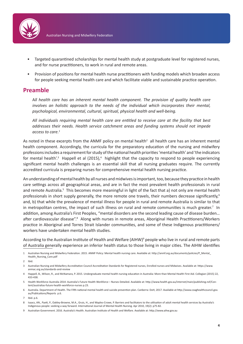

- Targeted quarantined scholarships for mental health study at postgraduate level for registered nurses, and for nurse practitioners, to work in rural and remote areas.
- Provision of positions for mental health nurse practitioners with funding models which broaden access for people seeking mental health care and which facilitate viable and sustainable practice operation.

## **Preamble**

A*ll health care has an inherent mental health component. The provision of quality health care involves an holistic approach to the needs of the individual which incorporates their mental, psychological, environmental, cultural, spiritual, physical health and well-being.* 

*All individuals requiring mental health care are entitled to receive care at the facility that best addresses their needs. Health service catchment areas and funding systems should not impede access to care.1*

As noted in these excerpts from the ANMF policy on mental health<sup>2</sup> all health care has an inherent mental health component. Accordingly, the curricula for the preparatory education of the nursing and midwifery professions includes a requirement for study of the national health priorities 'mental health' and 'the indicators for mental health'.<sup>3</sup> Happell et al (2015),<sup>4</sup> highlight that the capacity to respond to people experiencing significant mental health challenges is an essential skill that all nursing graduates require. The currently accredited curricula is preparing nurses for comprehensive mental health nursing practice.

An understanding of mental health by all nurses and midwives is important, too, because they practice in health care settings across all geographical areas, and are in fact the most prevalent health professionals in rural and remote Australia.<sup>5</sup> This becomes more meaningful in light of the fact that a) not only are mental health professionals in short supply generally, the more remote one travels, their numbers decrease significantly,<sup>6</sup> and, b) that while the prevalence of mental illness for people in rural and remote Australia is similar to that in metropolitan centres, the impact of such illness on rural and remote communities is much greater.<sup>7</sup> In addition, among Australia's First Peoples, "mental disorders are the second leading cause of disease burden… after cardiovascular disease".<sup>8</sup> Along with nurses in remote areas, Aboriginal Health Practitioners/Workers practice in Aboriginal and Torres Strait Islander communities, and some of these Indigenous practitioners/ workers have undertaken mental health studies.

According to the Australian Institute of Health and Welfare (AIHW)<sup>9</sup> people who live in rural and remote parts of Australia generally experience an inferior health status to those living in major cities. The AIHW identifies

2 Ibid.

7 Ibid. p.6.

<sup>1</sup> Australian Nursing and Midwifery Federation. 2015. ANMF Policy: Mental health nursing care. Available at: http://anmf.org.au/documents/policies/P\_Mental\_ Health\_Nursing\_Care.pdf

<sup>3</sup> Australian Nursing and Midwifery Accreditation Council Accreditation Standards for Registered nurses, Enrolled nurses and Midwives. Available at: https://www. anmac.org.au/standards-and-review

<sup>4</sup> Happell, B., Wilson, R., and McNamara, P. 2015. Undergraduate mental health nursing education in Australia: More than Mental Health First Aid. Collegian (2015) 22, 433-438.

<sup>5</sup> Health Workforce Australia 2014: Australia's Future Health Workforce – Nurses Detailed. Available at: http://www.health.gov.au/internet/main/publishing.nsf/Content/australias-future-health-workforce-nurses p.23.

<sup>6</sup> Australia. Department of Health. The Fifth national mental health and suicide prevention plan. Canberra: DoH, 2017. Available at http://www.coaghealthcouncil.gov. au/Publications/Reports p.6.

<sup>8</sup> Isaacs, AN., Pyett, P., Oakley-Browne, M.A., Gruis, H., and Waples-Crowe, P. Barriers and facilitators to the utilisation of adult mental health services by Australia's Indigenous people: seeking a way forward. International Journal of Mental Health Nursing. Apr 2010, 19(2): p75-82.

<sup>9</sup> Australian Government. 2016. Australia's Health. Australian Institute of Health and Welfare. Available at: http://www.aihw.gov.au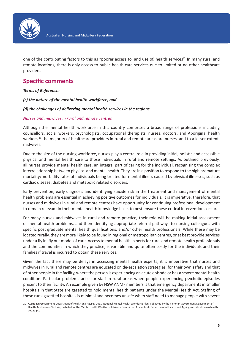

one of the contributing factors to this as "poorer access to, and use of, health services". In many rural and remote locations, there is only access to public health care services due to limited or no other healthcare providers.

## **Specific comments**

## *Terms of Reference:*

*(c) the nature of the mental health workforce, and*

## *(d) the challenges of delivering mental health services in the regions.*

## *Nurses and midwives in rural and remote centres*

Although the mental health workforce in this country comprises a broad range of professions including counsellors, social workers, psychologists, occupational therapists, nurses, doctors, and Aboriginal health workers,10 the majority of healthcare providers in rural and remote areas are nurses, and to a lesser extent, midwives.

Due to the size of the nursing workforce, nurses play a central role in providing initial, holistic and accessible physical and mental health care to those individuals in rural and remote settings. As outlined previously, all nurses provide mental health care, an integral part of caring for the individual, recognising the complex interrelationship between physical and mental health. They are in a position to respond to the high premature mortality/morbidity rates of individuals being treated for mental illness caused by physical illnesses, such as cardiac disease, diabetes and metabolic related disorders.

Early prevention, early diagnosis and identifying suicide risk in the treatment and management of mental health problems are essential in achieving positive outcomes for individuals. It is imperative, therefore, that nurses and midwives in rural and remote centres have opportunity for continuing professional development to remain relevant in their mental health knowledge base, to best ensure these critical interventions occur.

For many nurses and midwives in rural and remote practice, their role will be making initial assessment of mental health problems, and then identifying appropriate referral pathways to nursing colleagues with specific post graduate mental health qualifications, and/or other health professionals. While these may be located rurally, they are more likely to be found in regional or metropolitan centres, or at best provide services under a fly in, fly out model of care. Access to mental health experts for rural and remote health professionals and the communities in which they practice, is variable and quite often costly for the individuals and their families if travel is incurred to obtain these services.

Given the fact there may be delays in accessing mental health experts, it is imperative that nurses and midwives in rural and remote centres are educated on de-escalation strategies, for their own safety and that of other people in the facility, where the person is experiencing an acute episode or has a severe mental health condition. Particular problems arise for staff in rural areas when people experiencing psychotic episodes present to their facility. An example given by NSW ANMF members is that emergency departments in smaller hospitals in that State are gazetted to hold mental health patients under the Mental Health Act. Staffing of these rural gazetted hospitals is minimal and becomes unsafe when staff need to manage people with severe

<sup>10</sup> Australian Government Department of Health and Ageing. 2011. National Mental Health Workforce Plan. Published by the Victorian Government Department of Health, Melbourne, Victoria, on behalf of the Mental Health Workforce Advisory Committee. Available at: Department of Health and Ageing website at: www.health. gov.au p.1.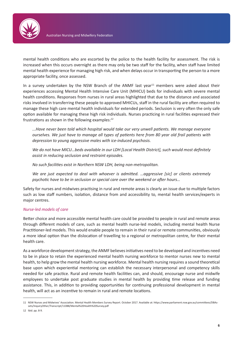

mental health conditions who are escorted by the police to the health facility for assessment. The risk is increased when this occurs overnight as there may only be two staff for the facility, when staff have limited mental health experience for managing high risk, and when delays occur in transporting the person to a more appropriate facility, once assessed.

In a survey undertaken by the NSW Branch of the ANMF last year<sup>11</sup> members were asked about their experiences accessing Mental Health Intensive Care Unit (MHICU) beds for individuals with severe mental health conditions. Responses from nurses in rural areas highlighted that due to the distance and associated risks involved in transferring these people to approved MHICUs, staff in the rural facility are often required to manage these high care mental health individuals for extended periods. Seclusion is very often the only safe option available for managing these high risk individuals. Nurses practicing in rural facilities expressed their frustrations as shown in the following examples: $12$ 

*...Have never been told which hospital would take our very unwell patients. We manage everyone ourselves. We just have to manage all types of patients here from 80 year old frail patients with depression to young aggressive males with ice-induced psychosis.*

*We do not have MICU…beds available in our LDH [Local Health District], such would most definitely assist in reducing seclusion and restraint episodes.*

*No such facilities exist in Northern NSW LDH, being non-metropolitan.* 

*We are just expected to deal with whoever is admitted. …aggressive [sic] or clients extremely psychotic have to be in seclusion or special care over the weekend or after hours…* 

Safety for nurses and midwives practising in rural and remote areas is clearly an issue due to multiple factors such as low staff numbers, isolation, distance from and accessibility to, mental health services/experts in major centres.

## *Nurse-led models of care*

Better choice and more accessible mental health care could be provided to people in rural and remote areas through different models of care, such as mental health nurse-led models, including mental health Nurse Practitioner-led models. This would enable people to remain in their rural or remote communities, obviously a more ideal option than the dislocation of travelling to a regional or metropolitan centre, for their mental health care.

As a workforce development strategy, the ANMF believes initiatives need to be developed and incentives need to be in place to retain the experienced mental health nursing workforce to mentor nurses new to mental health, to help grow the mental health nursing workforce. Mental health nursing requires a sound theoretical base upon which experiential mentoring can establish the necessary interpersonal and competency skills needed for safe practice. Rural and remote health facilities can, and should, encourage nurse and midwife employees to undertake post graduate studies in mental health by providing time release and funding assistance. This, in addition to providing opportunities for continuing professional development in mental health, will act as an incentive to remain in rural and remote locations.

<sup>11</sup> NSW Nurses and Midwives' Association. Mental Health Members Survey Report. October 2017. Available at: https://www.parliament.nsw.gov.au/committees/DBAssets/InquiryOther/Transcript/11088/Mental%20Health%20Survey.pdf

<sup>12</sup> Ibid. pp. 8-9.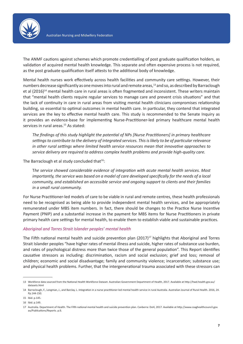

The ANMF cautions against schemes which promote credentialling of post graduate qualification holders, as validation of acquired mental health knowledge. This separate and often expensive process is not required, as the post graduate qualification itself attests to the additional body of knowledge.

Mental health nurses work effectively across health facilities and community care settings. However, their numbers decrease significantly as one moves into rural and remote areas,<sup>13</sup> and so, as described by Barraclough et al (2016)<sup>14</sup> mental health care in rural areas is often fragmented and inconsistent. These writers maintain that "mental health clients require regular services to manage care and prevent crisis situations" and that the lack of continuity in care in rural areas from visiting mental health clinicians compromises relationship building, so essential to optimal outcomes in mental health care. In particular, they contend that integrated services are the key to effective mental health care. This study is recommended to the Senate Inquiry as it provides an evidence-base for implementing Nurse-Practitioner-led primary healthcare mental health services in rural areas.<sup>15</sup> As stated:

*The findings of this study highlight the potential of NPs [Nurse Practitioners] in primary healthcare settings to contribute to the delivery of integrated services. This is likely to be of particular relevance in other rural settings where limited health service resources mean that innovative approaches to service delivery are required to address complex health problems and provide high-quality care.*

The Barraclough et al study concluded that<sup>16</sup>:

T*he service showed considerable evidence of integration with acute mental health services. Most importantly, the service was based on a model of care developed specifically for the needs of a local community, and established an accessible service and ongoing support to clients and their families in a small rural community.*

For Nurse Practitioner-led models of care to be viable in rural and remote centres, these health professionals need to be recognised as being able to provide independent mental health services, and be appropriately remunerated under MBS item numbers. In fact, there should be changes to the Practice Nurse Incentive Payment (PNIP) and a substantial increase in the payment for MBS items for Nurse Practitioners in private primary health care settings for mental health, to enable them to establish viable and sustainable practices.

#### *Aboriginal and Torres Strait Islander peoples' mental health*

The Fifth national mental health and suicide prevention plan  $(2017)^{17}$  highlights that Aboriginal and Torres Strait Islander peoples "have higher rates of mental illness and suicide, higher rates of substance use burden, and rates of psychological distress more than twice those of the general population". This Report identifies causative stressors as including: discrimination, racism and social exclusion; grief and loss; removal of children; economic and social disadvantage; family and community violence; incarceration; substance use; and physical health problems. Further, that the intergenerational trauma associated with these stressors can

<sup>13</sup> Workforce data sourced from the National Health Workforce Dataset. Australian Government Department of Health, 2017. Available at http://hwd.health.gov.au/ datasets.html

<sup>14</sup> Barraclough, F., Longman, J., and Barclay, L. Integration in a nurse practitioner-led mental health service in rural Australia. Australian Journal of Rural Health. 2016, 24. Pp.144-150.

<sup>15</sup> Ibid. p.145.

<sup>16</sup> Ibid. p.149.

<sup>17</sup> Australia. Department of Health. The Fifth national mental health and suicide prevention plan. Canberra: DoH, 2017. Available at http://www.coaghealthcouncil.gov. au/Publications/Reports. p.6.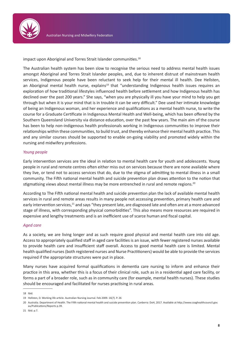

impact upon Aboriginal and Torres Strait Islander communities.<sup>18</sup>

The Australian health system has been slow to recognise the serious need to address mental health issues amongst Aboriginal and Torres Strait Islander peoples, and, due to inherent distrust of mainstream health services, Indigenous people have been reluctant to seek help for their mental ill health. Dee Hellsten, an Aboriginal mental health nurse, explains<sup>19</sup> that "understanding Indigenous health issues requires an exploration of how traditional lifestyles influenced health before settlement and how Indigenous health has declined over the past 200 years." She says, "when you are physically ill you have your mind to help you get through but when it is your mind that is in trouble it can be very difficult." Dee used her intimate knowledge of being an Indigenous woman, and her experience and qualifications as a mental health nurse, to write the course for a Graduate Certificate in Indigenous Mental Health and Well-being, which has been offered by the Southern Queensland University via distance education, over the past few years. The main aim of the course has been to help non-indigenous health professionals working in Indigenous communities to improve their relationships within these communities, to build trust, and thereby enhance their mental health practice. This and any similar courses should be supported to enable on-going viability and promoted widely within the nursing and midwifery professions.

## *Young people*

Early intervention services are the ideal in relation to mental health care for youth and adolescents. Young people in rural and remote centres often either miss out on services because there are none available where they live, or tend not to access services that do, due to the stigma of admitting to mental illness in a small community. The Fifth national mental health and suicide prevention plan draws attention to the notion that stigmatising views about mental illness may be more entrenched in rural and remote regions.<sup>20</sup>

According to The Fifth national mental health and suicide prevention plan the lack of available mental health services in rural and remote areas results in many people not accessing prevention, primary health care and early intervention services,<sup>21</sup> and says "they present late, are diagnosed late and often are at a more advanced stage of illness, with corresponding physical comorbidities". This also means more resources are required in expensive and lengthy treatments and is an inefficient use of scarce human and fiscal capital.

#### *Aged care*

As a society, we are living longer and as such require good physical and mental health care into old age. Access to appropriately qualified staff in aged care facilities is an issue, with fewer registered nurses available to provide health care and insufficient staff overall. Access to good mental health care is limited. Mental health qualified nurses (both registered nurses and Nurse Practitioners) would be able to provide the services required if the appropriate structures were put in place.

Many nurses have acquired formal qualifications in dementia care nursing to inform and enhance their practice in this area, whether this is a focus of their clinical role, such as in a residential aged care facility, or forms a part of a broader role, such as in community care (for example, mental health nurses). These studies should be encouraged and facilitated for nurses practising in rural areas.

<sup>18</sup> Ibid.

<sup>19</sup> Hellsten, D. Working life article. Australian Nursing Journal. Feb 2009. 16(7). P. 26

<sup>20</sup> Australia. Department of Health. The Fifth national mental health and suicide prevention plan. Canberra: DoH, 2017. Available at http://www.coaghealthcouncil.gov. au/Publications/Reports p.39.

<sup>21</sup> Ibid. p.7.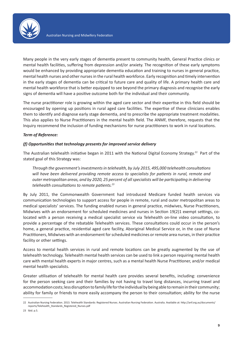

Many people in the very early stages of dementia present to community health, General Practice clinics or mental health facilities, suffering from depression and/or anxiety. The recognition of these early symptoms would be enhanced by providing appropriate dementia education and training to nurses in general practice, mental health nurses and other nurses in the rural health workforce. Early recognition and timely intervention in the early stages of dementia can be critical to future care and quality of life. A primary health care and mental health workforce that is better equipped to see beyond the primary diagnosis and recognise the early signs of dementia will have a positive outcome both for the individual and their community.

The nurse practitioner role is growing within the aged care sector and their expertise in this field should be encouraged by opening up positions in rural aged care facilities. The expertise of these clinicians enables them to identify and diagnose early stage dementia, and to prescribe the appropriate treatment modalities. This also applies to Nurse Practitioners in the mental health field. The ANMF, therefore, requests that the Inquiry recommend the inclusion of funding mechanisms for nurse practitioners to work in rural locations.

## *Term of Reference:*

## *(f) Opportunities that technology presents for improved service delivery*

The Australian telehealth initiative began in 2011 with the National Digital Economy Strategy.<sup>22</sup> Part of the stated goal of this Strategy was:

*Through the government's investments in telehealth, by July 2015, 495,000 telehealth consultations*  will have been delivered providing remote access to specialists for patients in rural, remote and *outer metropolitan areas, and by 2020, 25 percent of all specialists will be participating in delivering telehealth consultations to remote patients.23* 

By July 2011, the Commonwealth Government had introduced Medicare funded health services via communication technologies to support access for people in remote, rural and outer metropolitan areas to medical specialists' services. The funding enabled nurses in general practice, midwives, Nurse Practitioners, Midwives with an endorsement for scheduled medicines and nurses in Section 19(2)1 exempt settings, colocated with a person receiving a medical specialist service via Telehealth on-line video consultation, to provide a percentage of the rebatable Telehealth services. These consultations could occur in the person's home, a general practice, residential aged care facility, Aboriginal Medical Service or, in the case of Nurse Practitioners, Midwives with an endorsement for scheduled medicines or remote area nurses, in their practice facility or other settings.

Access to mental health services in rural and remote locations can be greatly augmented by the use of telehealth technology. Telehealth mental health services can be used to link a person requiring mental health care with mental health experts in major centres, such as a mental health Nurse Practitioner, and/or medical mental health specialists.

Greater utilisation of telehealth for mental health care provides several benefits, including: convenience for the person seeking care and their families by not having to travel long distances, incurring travel and accommodation costs; less disruption to family life for the individual by being able to remain in their community; ability for family or friends to more easily accompany the person to their consultation; ability for the nurse

<sup>22</sup> Australian Nursing Federation. 2013. Telehealth Standards: Registered Nurses. Australian Nursing Federation. Australia. Available at: http://anf.org.au/documents/ reports/Telehealth\_Standards\_Registered\_Nurses.pdf

<sup>23</sup> Ibid. p.5.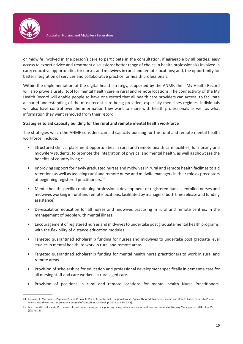

or midwife involved in the person's care to participate in the consultation, if agreeable by all parties; easy access to expert advice and treatment discussions; better range of choice in health professional/s involved in care; educative opportunities for nurses and midwives in rural and remote locations; and, the opportunity for better integration of services and collaborative practice for health professionals.

Within the implementation of the digital health strategy, supported by the ANMF, the My Health Record will also prove a useful tool for mental health care in rural and remote locations. The connectivity of the My Health Record will enable people to have one record that all health care providers can access, to facilitate a shared understanding of the most recent care being provided, especially medicines regimes. Individuals will also have control over the information they want to share with health professionals as well as what information they want removed from their record.

#### **Strategies to aid capacity building for the rural and remote mental health workforce**

The strategies which the ANMF considers can aid capacity building for the rural and remote mental health workforce, include:

- Structured clinical placement opportunities in rural and remote health care facilities, for nursing and midwifery students, to promote the integration of physical and mental health, as well as showcase the benefits of country living.<sup>24</sup>
- Improving support for newly graduated nurses and midwives in rural and remote health facilities to aid retention; as well as assisting rural and remote nurse and midwife managers in their role as preceptors of beginning registered practitioners.<sup>25</sup>
- Mental health specific continuing professional development of registered nurses, enrolled nurses and midwives working in rural and remote locations, facilitated by managers (both time release and funding assistance).
- De-escalation education for all nurses and midwives practising in rural and remote centres, in the management of people with mental illness.
- Encouragement of registered nurses and midwives to undertake post graduate mental health programs, with the flexibility of distance education modules.
- Targeted quarantined scholarship funding for nurses and midwives to undertake post graduate level studies in mental health, to work in rural and remote areas.
- Targeted quarantined scholarship funding for mental health nurse practitioners to work in rural and remote areas.
- Provision of scholarships for education and professional development specifically in dementia care for all nursing staff and care workers in rural aged care.
- Provision of positions in rural and remote locations for mental health Nurse Practitioners.

<sup>24</sup> Penman, J., Martinez, l., Papoulis, D., and Cronin, K. Voices from the Field: Regional Nurses Speak About Motivations, Careers and How to Entice Others to Pursue Mental Health Nursing. International Journal of Education Scholarship. 2018. Jan 30, 15(1).

<sup>25</sup> Lea, J., and Cruickshank, M. The role of rural nurse managers in supporting new graduate nurses in rural practice. Journal of Nursing Management. 2017. Apr 25, (3):176-183.